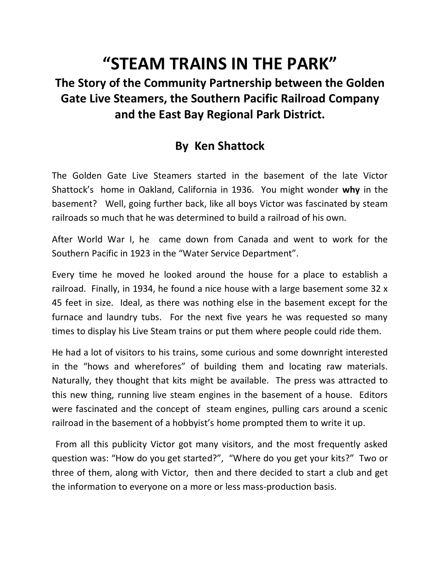## **"STEAM TRAINS IN THE PARK"**

## **The Story of the Community Partnership between the Golden Gate Live Steamers, the Southern Pacific Railroad Company and the East Bay Regional Park District.**

## **By Ken Shattock**

The Golden Gate Live Steamers started in the basement of the late Victor Shattock's home in Oakland, California in 1936. You might wonder **why** in the basement? Well, going further back, like all boys Victor was fascinated by steam railroads so much that he was determined to build a railroad of his own.

After World War I, he came down from Canada and went to work for the Southern Pacific in 1923 in the "Water Service Department".

Every time he moved he looked around the house for a place to establish a railroad. Finally, in 1934, he found a nice house with a large basement some 32 x 45 feet in size. Ideal, as there was nothing else in the basement except for the furnace and laundry tubs. For the next five years he was requested so many times to display his Live Steam trains or put them where people could ride them.

He had a lot of visitors to his trains, some curious and some downright interested in the "hows and wherefores" of building them and locating raw materials. Naturally, they thought that kits might be available. The press was attracted to this new thing, running live steam engines in the basement of a house. Editors were fascinated and the concept of steam engines, pulling cars around a scenic railroad in the basement of a hobbyist's home prompted them to write it up.

 From all this publicity Victor got many visitors, and the most frequently asked question was: "How do you get started?", "Where do you get your kits?" Two or three of them, along with Victor, then and there decided to start a club and get the information to everyone on a more or less mass-production basis.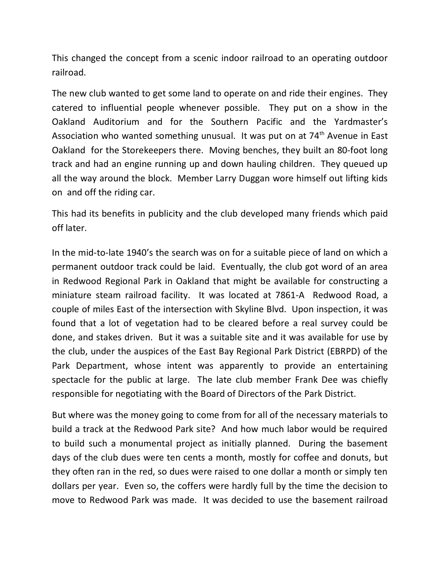This changed the concept from a scenic indoor railroad to an operating outdoor railroad.

The new club wanted to get some land to operate on and ride their engines. They catered to influential people whenever possible. They put on a show in the Oakland Auditorium and for the Southern Pacific and the Yardmaster's Association who wanted something unusual. It was put on at  $74<sup>th</sup>$  Avenue in East Oakland for the Storekeepers there. Moving benches, they built an 80-foot long track and had an engine running up and down hauling children. They queued up all the way around the block. Member Larry Duggan wore himself out lifting kids on and off the riding car.

This had its benefits in publicity and the club developed many friends which paid off later.

In the mid-to-late 1940's the search was on for a suitable piece of land on which a permanent outdoor track could be laid. Eventually, the club got word of an area in Redwood Regional Park in Oakland that might be available for constructing a miniature steam railroad facility. It was located at 7861-A Redwood Road, a couple of miles East of the intersection with Skyline Blvd. Upon inspection, it was found that a lot of vegetation had to be cleared before a real survey could be done, and stakes driven. But it was a suitable site and it was available for use by the club, under the auspices of the East Bay Regional Park District (EBRPD) of the Park Department, whose intent was apparently to provide an entertaining spectacle for the public at large. The late club member Frank Dee was chiefly responsible for negotiating with the Board of Directors of the Park District.

But where was the money going to come from for all of the necessary materials to build a track at the Redwood Park site? And how much labor would be required to build such a monumental project as initially planned. During the basement days of the club dues were ten cents a month, mostly for coffee and donuts, but they often ran in the red, so dues were raised to one dollar a month or simply ten dollars per year. Even so, the coffers were hardly full by the time the decision to move to Redwood Park was made. It was decided to use the basement railroad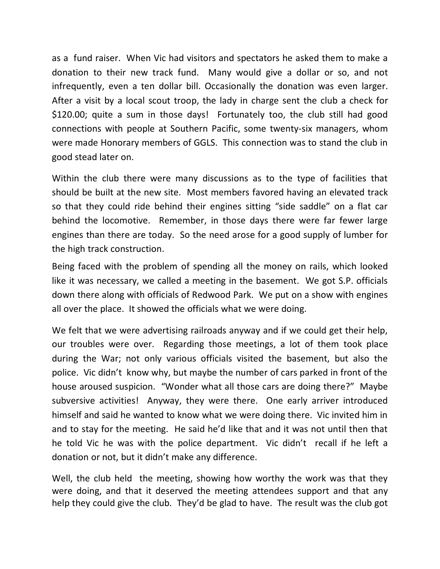as a fund raiser. When Vic had visitors and spectators he asked them to make a donation to their new track fund. Many would give a dollar or so, and not infrequently, even a ten dollar bill. Occasionally the donation was even larger. After a visit by a local scout troop, the lady in charge sent the club a check for \$120.00; quite a sum in those days! Fortunately too, the club still had good connections with people at Southern Pacific, some twenty-six managers, whom were made Honorary members of GGLS. This connection was to stand the club in good stead later on.

Within the club there were many discussions as to the type of facilities that should be built at the new site. Most members favored having an elevated track so that they could ride behind their engines sitting "side saddle" on a flat car behind the locomotive. Remember, in those days there were far fewer large engines than there are today. So the need arose for a good supply of lumber for the high track construction.

Being faced with the problem of spending all the money on rails, which looked like it was necessary, we called a meeting in the basement. We got S.P. officials down there along with officials of Redwood Park. We put on a show with engines all over the place. It showed the officials what we were doing.

We felt that we were advertising railroads anyway and if we could get their help, our troubles were over. Regarding those meetings, a lot of them took place during the War; not only various officials visited the basement, but also the police. Vic didn't know why, but maybe the number of cars parked in front of the house aroused suspicion. "Wonder what all those cars are doing there?" Maybe subversive activities! Anyway, they were there. One early arriver introduced himself and said he wanted to know what we were doing there. Vic invited him in and to stay for the meeting. He said he'd like that and it was not until then that he told Vic he was with the police department. Vic didn't recall if he left a donation or not, but it didn't make any difference.

Well, the club held the meeting, showing how worthy the work was that they were doing, and that it deserved the meeting attendees support and that any help they could give the club. They'd be glad to have. The result was the club got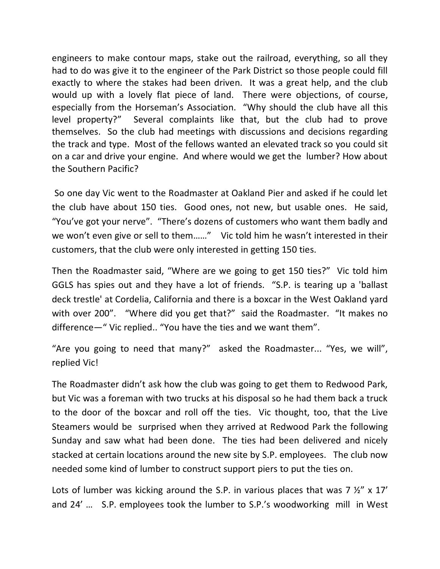engineers to make contour maps, stake out the railroad, everything, so all they had to do was give it to the engineer of the Park District so those people could fill exactly to where the stakes had been driven. It was a great help, and the club would up with a lovely flat piece of land. There were objections, of course, especially from the Horseman's Association. "Why should the club have all this level property?" Several complaints like that, but the club had to prove themselves. So the club had meetings with discussions and decisions regarding the track and type. Most of the fellows wanted an elevated track so you could sit on a car and drive your engine. And where would we get the lumber? How about the Southern Pacific?

 So one day Vic went to the Roadmaster at Oakland Pier and asked if he could let the club have about 150 ties. Good ones, not new, but usable ones. He said, "You've got your nerve". "There's dozens of customers who want them badly and we won't even give or sell to them……" Vic told him he wasn't interested in their customers, that the club were only interested in getting 150 ties.

Then the Roadmaster said, "Where are we going to get 150 ties?" Vic told him GGLS has spies out and they have a lot of friends. "S.P. is tearing up a 'ballast deck trestle' at Cordelia, California and there is a boxcar in the West Oakland yard with over 200". "Where did you get that?" said the Roadmaster. "It makes no difference—" Vic replied.. "You have the ties and we want them".

"Are you going to need that many?" asked the Roadmaster... "Yes, we will", replied Vic!

The Roadmaster didn't ask how the club was going to get them to Redwood Park, but Vic was a foreman with two trucks at his disposal so he had them back a truck to the door of the boxcar and roll off the ties. Vic thought, too, that the Live Steamers would be surprised when they arrived at Redwood Park the following Sunday and saw what had been done. The ties had been delivered and nicely stacked at certain locations around the new site by S.P. employees. The club now needed some kind of lumber to construct support piers to put the ties on.

Lots of lumber was kicking around the S.P. in various places that was 7  $\frac{1}{2}$ " x 17' and 24' … S.P. employees took the lumber to S.P.'s woodworking mill in West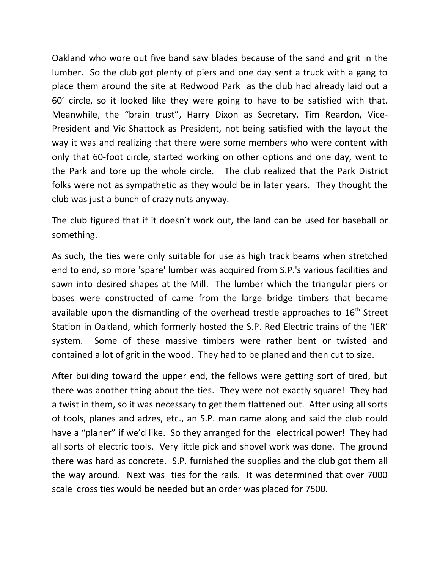Oakland who wore out five band saw blades because of the sand and grit in the lumber. So the club got plenty of piers and one day sent a truck with a gang to place them around the site at Redwood Park as the club had already laid out a 60' circle, so it looked like they were going to have to be satisfied with that. Meanwhile, the "brain trust", Harry Dixon as Secretary, Tim Reardon, Vice-President and Vic Shattock as President, not being satisfied with the layout the way it was and realizing that there were some members who were content with only that 60-foot circle, started working on other options and one day, went to the Park and tore up the whole circle. The club realized that the Park District folks were not as sympathetic as they would be in later years. They thought the club was just a bunch of crazy nuts anyway.

The club figured that if it doesn't work out, the land can be used for baseball or something.

As such, the ties were only suitable for use as high track beams when stretched end to end, so more 'spare' lumber was acquired from S.P.'s various facilities and sawn into desired shapes at the Mill. The lumber which the triangular piers or bases were constructed of came from the large bridge timbers that became available upon the dismantling of the overhead trestle approaches to  $16<sup>th</sup>$  Street Station in Oakland, which formerly hosted the S.P. Red Electric trains of the 'IER' system. Some of these massive timbers were rather bent or twisted and contained a lot of grit in the wood. They had to be planed and then cut to size.

After building toward the upper end, the fellows were getting sort of tired, but there was another thing about the ties. They were not exactly square! They had a twist in them, so it was necessary to get them flattened out. After using all sorts of tools, planes and adzes, etc., an S.P. man came along and said the club could have a "planer" if we'd like. So they arranged for the electrical power! They had all sorts of electric tools. Very little pick and shovel work was done. The ground there was hard as concrete. S.P. furnished the supplies and the club got them all the way around. Next was ties for the rails. It was determined that over 7000 scale cross ties would be needed but an order was placed for 7500.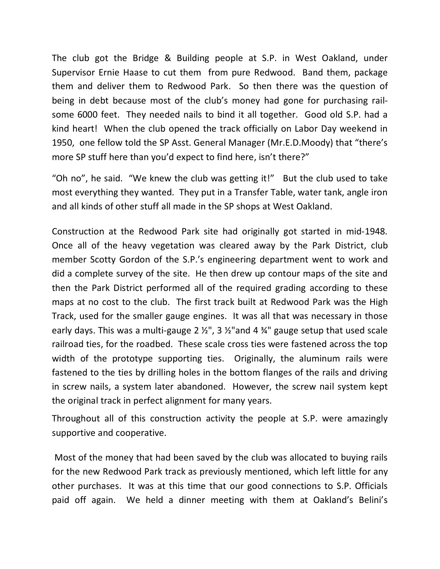The club got the Bridge & Building people at S.P. in West Oakland, under Supervisor Ernie Haase to cut them from pure Redwood. Band them, package them and deliver them to Redwood Park. So then there was the question of being in debt because most of the club's money had gone for purchasing railsome 6000 feet. They needed nails to bind it all together. Good old S.P. had a kind heart! When the club opened the track officially on Labor Day weekend in 1950, one fellow told the SP Asst. General Manager (Mr.E.D.Moody) that "there's more SP stuff here than you'd expect to find here, isn't there?"

"Oh no", he said. "We knew the club was getting it!" But the club used to take most everything they wanted. They put in a Transfer Table, water tank, angle iron and all kinds of other stuff all made in the SP shops at West Oakland.

Construction at the Redwood Park site had originally got started in mid-1948. Once all of the heavy vegetation was cleared away by the Park District, club member Scotty Gordon of the S.P.'s engineering department went to work and did a complete survey of the site. He then drew up contour maps of the site and then the Park District performed all of the required grading according to these maps at no cost to the club. The first track built at Redwood Park was the High Track, used for the smaller gauge engines. It was all that was necessary in those early days. This was a multi-gauge 2  $\frac{1}{2}$ , 3  $\frac{1}{2}$  and 4  $\frac{1}{4}$  gauge setup that used scale railroad ties, for the roadbed. These scale cross ties were fastened across the top width of the prototype supporting ties. Originally, the aluminum rails were fastened to the ties by drilling holes in the bottom flanges of the rails and driving in screw nails, a system later abandoned. However, the screw nail system kept the original track in perfect alignment for many years.

Throughout all of this construction activity the people at S.P. were amazingly supportive and cooperative.

 Most of the money that had been saved by the club was allocated to buying rails for the new Redwood Park track as previously mentioned, which left little for any other purchases. It was at this time that our good connections to S.P. Officials paid off again. We held a dinner meeting with them at Oakland's Belini's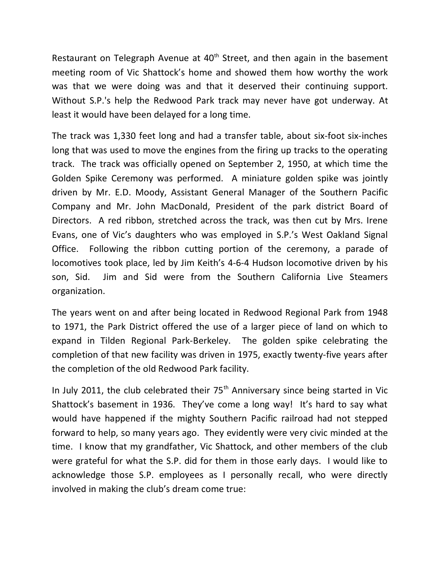Restaurant on Telegraph Avenue at  $40<sup>th</sup>$  Street, and then again in the basement meeting room of Vic Shattock's home and showed them how worthy the work was that we were doing was and that it deserved their continuing support. Without S.P.'s help the Redwood Park track may never have got underway. At least it would have been delayed for a long time.

The track was 1,330 feet long and had a transfer table, about six-foot six-inches long that was used to move the engines from the firing up tracks to the operating track. The track was officially opened on September 2, 1950, at which time the Golden Spike Ceremony was performed. A miniature golden spike was jointly driven by Mr. E.D. Moody, Assistant General Manager of the Southern Pacific Company and Mr. John MacDonald, President of the park district Board of Directors. A red ribbon, stretched across the track, was then cut by Mrs. Irene Evans, one of Vic's daughters who was employed in S.P.'s West Oakland Signal Office. Following the ribbon cutting portion of the ceremony, a parade of locomotives took place, led by Jim Keith's 4-6-4 Hudson locomotive driven by his son, Sid. Jim and Sid were from the Southern California Live Steamers organization.

The years went on and after being located in Redwood Regional Park from 1948 to 1971, the Park District offered the use of a larger piece of land on which to expand in Tilden Regional Park-Berkeley. The golden spike celebrating the completion of that new facility was driven in 1975, exactly twenty-five years after the completion of the old Redwood Park facility.

In July 2011, the club celebrated their  $75<sup>th</sup>$  Anniversary since being started in Vic Shattock's basement in 1936. They've come a long way! It's hard to say what would have happened if the mighty Southern Pacific railroad had not stepped forward to help, so many years ago. They evidently were very civic minded at the time. I know that my grandfather, Vic Shattock, and other members of the club were grateful for what the S.P. did for them in those early days. I would like to acknowledge those S.P. employees as I personally recall, who were directly involved in making the club's dream come true: